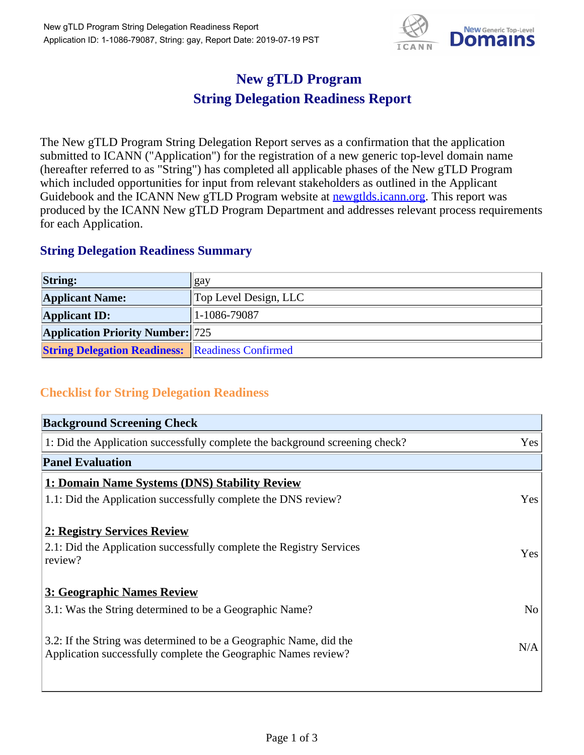

## **New gTLD Program String Delegation Readiness Report**

The New gTLD Program String Delegation Report serves as a confirmation that the application submitted to ICANN ("Application") for the registration of a new generic top-level domain name (hereafter referred to as "String") has completed all applicable phases of the New gTLD Program which included opportunities for input from relevant stakeholders as outlined in the Applicant Guidebook and the ICANN New gTLD Program website at newgtlds.icann.org. This report was produced by the ICANN New gTLD Program Department and addresses relevant process requirements for each Application.

## **String Delegation Readiness Summary**

| <b>String:</b>                                          | gay                            |
|---------------------------------------------------------|--------------------------------|
| <b>Applicant Name:</b>                                  | $\Gamma$ Top Level Design, LLC |
| <b>Applicant ID:</b>                                    | $1-1086-79087$                 |
| <b>Application Priority Number:</b> 725                 |                                |
| <b>String Delegation Readiness: Readiness Confirmed</b> |                                |

## **Checklist for String Delegation Readiness**

| <b>Background Screening Check</b>                                               |                |
|---------------------------------------------------------------------------------|----------------|
| 1: Did the Application successfully complete the background screening check?    | Yes            |
| <b>Panel Evaluation</b>                                                         |                |
| 1: Domain Name Systems (DNS) Stability Review                                   |                |
| 1.1: Did the Application successfully complete the DNS review?                  | Yes            |
| 2: Registry Services Review                                                     |                |
|                                                                                 |                |
| 2.1: Did the Application successfully complete the Registry Services<br>review? | <b>Yes</b>     |
|                                                                                 |                |
| 3: Geographic Names Review                                                      |                |
| 3.1: Was the String determined to be a Geographic Name?                         | N <sub>0</sub> |
| 3.2: If the String was determined to be a Geographic Name, did the              |                |
| Application successfully complete the Geographic Names review?                  | N/A            |
|                                                                                 |                |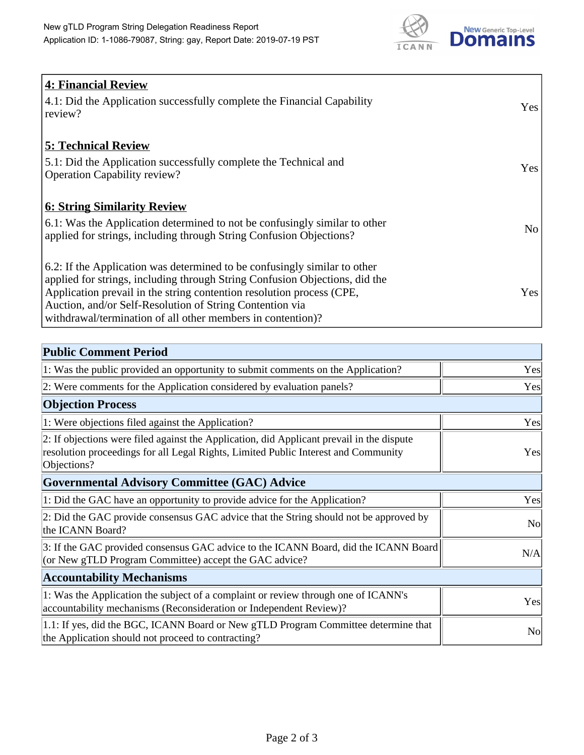

| <b>4: Financial Review</b><br>4.1: Did the Application successfully complete the Financial Capability<br>review?                                                                                                                                                                                                                                             | Yes            |
|--------------------------------------------------------------------------------------------------------------------------------------------------------------------------------------------------------------------------------------------------------------------------------------------------------------------------------------------------------------|----------------|
| <b>5: Technical Review</b><br>5.1: Did the Application successfully complete the Technical and<br><b>Operation Capability review?</b>                                                                                                                                                                                                                        | Yes            |
| <u><b>6: String Similarity Review</b></u><br>6.1: Was the Application determined to not be confusingly similar to other<br>applied for strings, including through String Confusion Objections?                                                                                                                                                               | N <sub>o</sub> |
| 6.2: If the Application was determined to be confusingly similar to other<br>applied for strings, including through String Confusion Objections, did the<br>Application prevail in the string contention resolution process (CPE,<br>Auction, and/or Self-Resolution of String Contention via<br>withdrawal/termination of all other members in contention)? | Yes            |

| <b>Public Comment Period</b>                                                                                                                                                                   |                |
|------------------------------------------------------------------------------------------------------------------------------------------------------------------------------------------------|----------------|
| 1: Was the public provided an opportunity to submit comments on the Application?                                                                                                               | Yes            |
| 2: Were comments for the Application considered by evaluation panels?                                                                                                                          | Yes            |
| <b>Objection Process</b>                                                                                                                                                                       |                |
| 1: Were objections filed against the Application?                                                                                                                                              | Yes            |
| 2: If objections were filed against the Application, did Applicant prevail in the dispute<br>resolution proceedings for all Legal Rights, Limited Public Interest and Community<br>Objections? | Yes            |
| Governmental Advisory Committee (GAC) Advice                                                                                                                                                   |                |
| 1: Did the GAC have an opportunity to provide advice for the Application?                                                                                                                      | Yes            |
| 2: Did the GAC provide consensus GAC advice that the String should not be approved by<br>the ICANN Board?                                                                                      | <b>No</b>      |
| 3: If the GAC provided consensus GAC advice to the ICANN Board, did the ICANN Board<br>(or New gTLD Program Committee) accept the GAC advice?                                                  | N/A            |
| <b>Accountability Mechanisms</b>                                                                                                                                                               |                |
| 1: Was the Application the subject of a complaint or review through one of ICANN's<br>accountability mechanisms (Reconsideration or Independent Review)?                                       | Yes            |
| 1.1: If yes, did the BGC, ICANN Board or New gTLD Program Committee determine that<br>the Application should not proceed to contracting?                                                       | N <sub>o</sub> |